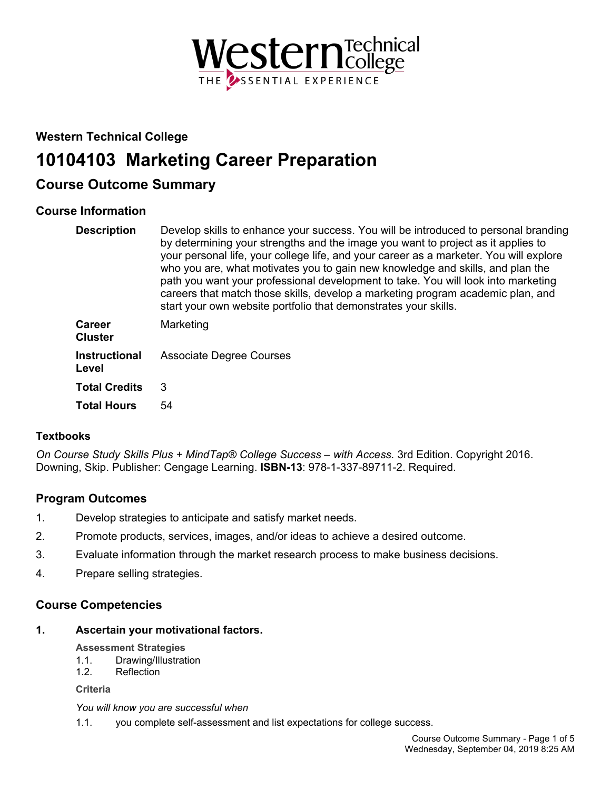

# **Western Technical College**

# **10104103 Marketing Career Preparation**

# **Course Outcome Summary**

## **Course Information**

| <b>Description</b>              | Develop skills to enhance your success. You will be introduced to personal branding<br>by determining your strengths and the image you want to project as it applies to<br>your personal life, your college life, and your career as a marketer. You will explore<br>who you are, what motivates you to gain new knowledge and skills, and plan the<br>path you want your professional development to take. You will look into marketing<br>careers that match those skills, develop a marketing program academic plan, and<br>start your own website portfolio that demonstrates your skills. |
|---------------------------------|------------------------------------------------------------------------------------------------------------------------------------------------------------------------------------------------------------------------------------------------------------------------------------------------------------------------------------------------------------------------------------------------------------------------------------------------------------------------------------------------------------------------------------------------------------------------------------------------|
| <b>Career</b><br><b>Cluster</b> | Marketing                                                                                                                                                                                                                                                                                                                                                                                                                                                                                                                                                                                      |
| <b>Instructional</b><br>Level   | <b>Associate Degree Courses</b>                                                                                                                                                                                                                                                                                                                                                                                                                                                                                                                                                                |
| <b>Total Credits</b>            | 3                                                                                                                                                                                                                                                                                                                                                                                                                                                                                                                                                                                              |
| <b>Total Hours</b>              | 54                                                                                                                                                                                                                                                                                                                                                                                                                                                                                                                                                                                             |

### **Textbooks**

*On Course Study Skills Plus + MindTap® College Success – with Access.* 3rd Edition. Copyright 2016. Downing, Skip. Publisher: Cengage Learning. **ISBN-13**: 978-1-337-89711-2. Required.

### **Program Outcomes**

- 1. Develop strategies to anticipate and satisfy market needs.
- 2. Promote products, services, images, and/or ideas to achieve a desired outcome.
- 3. Evaluate information through the market research process to make business decisions.
- 4. Prepare selling strategies.

### **Course Competencies**

### **1. Ascertain your motivational factors.**

**Assessment Strategies**

- 1.1. Drawing/Illustration
- 1.2. Reflection

**Criteria**

*You will know you are successful when*

1.1. you complete self-assessment and list expectations for college success.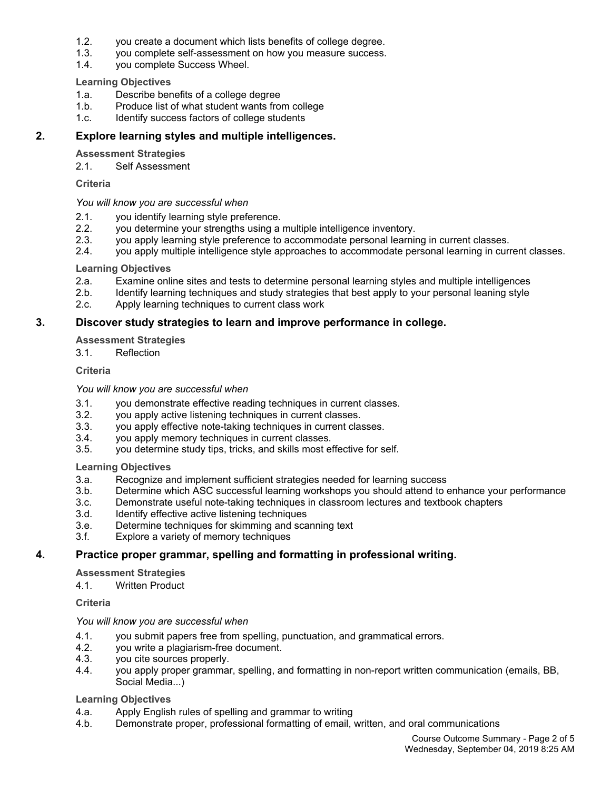- 1.2. you create a document which lists benefits of college degree.
- 1.3. you complete self-assessment on how you measure success.
- 1.4. you complete Success Wheel.

### **Learning Objectives**

- 1.a. Describe benefits of a college degree
- 1.b. Produce list of what student wants from college
- 1.c. Identify success factors of college students

### **2. Explore learning styles and multiple intelligences.**

**Assessment Strategies**

2.1. Self Assessment

### **Criteria**

### *You will know you are successful when*

- 2.1. you identify learning style preference.
- 2.2. you determine your strengths using a multiple intelligence inventory.
- 2.3. you apply learning style preference to accommodate personal learning in current classes.
- 2.4. you apply multiple intelligence style approaches to accommodate personal learning in current classes.

### **Learning Objectives**

- 2.a. Examine online sites and tests to determine personal learning styles and multiple intelligences
- 2.b. Identify learning techniques and study strategies that best apply to your personal leaning style
- 2.c. Apply learning techniques to current class work

### **3. Discover study strategies to learn and improve performance in college.**

### **Assessment Strategies**

3.1. Reflection

### **Criteria**

### *You will know you are successful when*

- 3.1. you demonstrate effective reading techniques in current classes.
- 3.2. you apply active listening techniques in current classes.
- 3.3. you apply effective note-taking techniques in current classes.
- 3.4. you apply memory techniques in current classes.
- 3.5. you determine study tips, tricks, and skills most effective for self.

### **Learning Objectives**

- 3.a. Recognize and implement sufficient strategies needed for learning success
- 3.b. Determine which ASC successful learning workshops you should attend to enhance your performance
- 3.c. Demonstrate useful note-taking techniques in classroom lectures and textbook chapters
- 3.d. Identify effective active listening techniques
- 3.e. Determine techniques for skimming and scanning text
- 3.f. Explore a variety of memory techniques

### **4. Practice proper grammar, spelling and formatting in professional writing.**

#### **Assessment Strategies**

4.1. Written Product

### **Criteria**

#### *You will know you are successful when*

- 4.1. you submit papers free from spelling, punctuation, and grammatical errors.
- 4.2. you write a plagiarism-free document.
- 4.3. you cite sources properly.
- 4.4. you apply proper grammar, spelling, and formatting in non-report written communication (emails, BB, Social Media...)

#### **Learning Objectives**

- 4.a. Apply English rules of spelling and grammar to writing
- 4.b. Demonstrate proper, professional formatting of email, written, and oral communications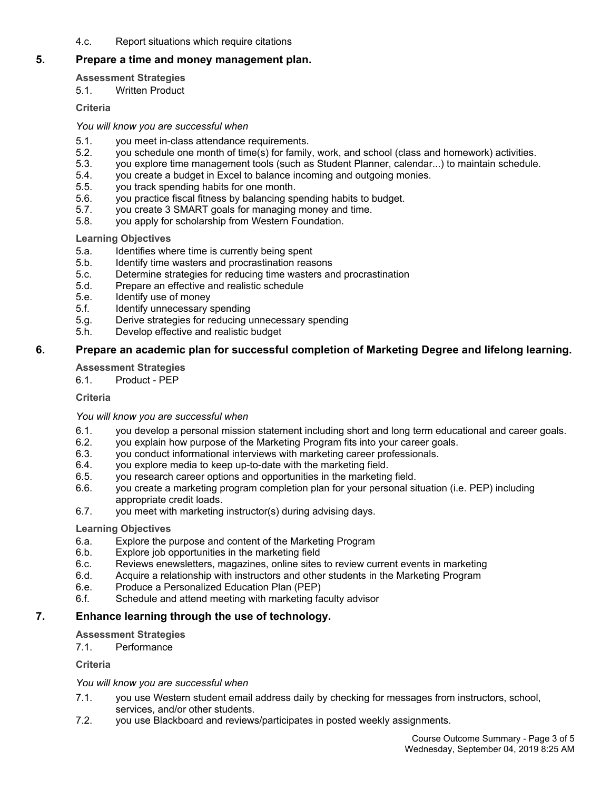4.c. Report situations which require citations

### **5. Prepare a time and money management plan.**

### **Assessment Strategies**

5.1. Written Product

**Criteria**

### *You will know you are successful when*

- 5.1. you meet in-class attendance requirements.
- 5.2. you schedule one month of time(s) for family, work, and school (class and homework) activities.
- 5.3. you explore time management tools (such as Student Planner, calendar...) to maintain schedule.<br>5.4. vou create a budget in Excel to balance incoming and outgoing monies.
- you create a budget in Excel to balance incoming and outgoing monies.
- 5.5. you track spending habits for one month.
- 5.6. you practice fiscal fitness by balancing spending habits to budget.
- 5.7. you create 3 SMART goals for managing money and time.
- 5.8. you apply for scholarship from Western Foundation.

### **Learning Objectives**

- 5.a. Identifies where time is currently being spent
- 5.b. Identify time wasters and procrastination reasons
- 5.c. Determine strategies for reducing time wasters and procrastination
- 5.d. Prepare an effective and realistic schedule
- 5.e. Identify use of money
- 5.f. Identify unnecessary spending
- 5.g. Derive strategies for reducing unnecessary spending
- 5.h. Develop effective and realistic budget

### **6. Prepare an academic plan for successful completion of Marketing Degree and lifelong learning.**

### **Assessment Strategies**

6.1. Product - PEP

### **Criteria**

### *You will know you are successful when*

- 6.1. you develop a personal mission statement including short and long term educational and career goals.
- 6.2. you explain how purpose of the Marketing Program fits into your career goals.
- 6.3. you conduct informational interviews with marketing career professionals.
- 6.4. you explore media to keep up-to-date with the marketing field.
- 6.5. you research career options and opportunities in the marketing field.
- 6.6. you create a marketing program completion plan for your personal situation (i.e. PEP) including appropriate credit loads.
- 6.7. you meet with marketing instructor(s) during advising days.

### **Learning Objectives**

- 6.a. Explore the purpose and content of the Marketing Program
- 6.b. Explore job opportunities in the marketing field
- 6.c. Reviews enewsletters, magazines, online sites to review current events in marketing<br>6.d. Acquire a relationship with instructors and other students in the Marketing Program
- Acquire a relationship with instructors and other students in the Marketing Program
- 6.e. Produce a Personalized Education Plan (PEP)
- 6.f. Schedule and attend meeting with marketing faculty advisor

### **7. Enhance learning through the use of technology.**

### **Assessment Strategies**

7.1. Performance

**Criteria**

### *You will know you are successful when*

- 7.1. you use Western student email address daily by checking for messages from instructors, school, services, and/or other students.
- 7.2. you use Blackboard and reviews/participates in posted weekly assignments.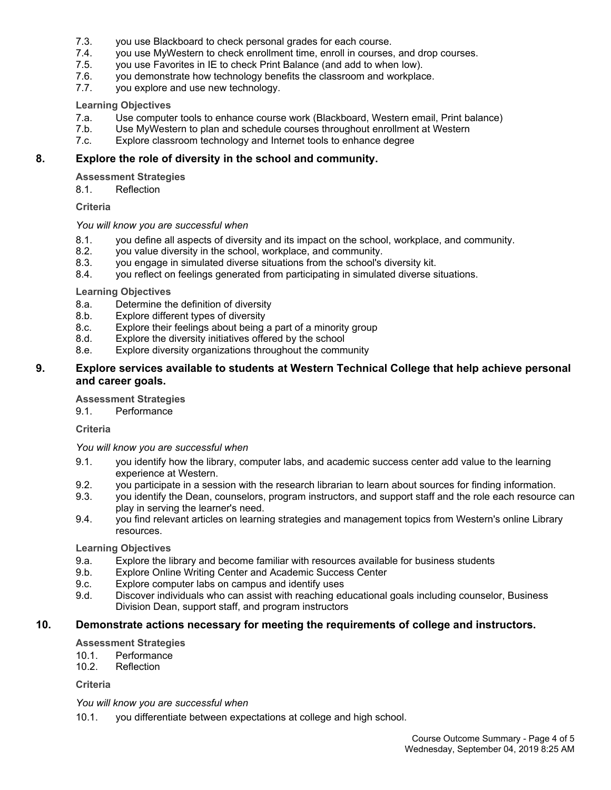- 7.3. you use Blackboard to check personal grades for each course.
- 7.4. you use MyWestern to check enrollment time, enroll in courses, and drop courses.
- 7.5. you use Favorites in IE to check Print Balance (and add to when low).
- 7.6. you demonstrate how technology benefits the classroom and workplace.
- 7.7. you explore and use new technology.

### **Learning Objectives**

- 7.a. Use computer tools to enhance course work (Blackboard, Western email, Print balance)
- 7.b. Use MyWestern to plan and schedule courses throughout enrollment at Western
- 7.c. Explore classroom technology and Internet tools to enhance degree

### **8. Explore the role of diversity in the school and community.**

### **Assessment Strategies**

8.1. Reflection

### **Criteria**

### *You will know you are successful when*

- 8.1. you define all aspects of diversity and its impact on the school, workplace, and community.
- 8.2. you value diversity in the school, workplace, and community.
- you engage in simulated diverse situations from the school's diversity kit.
- 8.4. you reflect on feelings generated from participating in simulated diverse situations.

### **Learning Objectives**

- 8.a. Determine the definition of diversity
- 8.b. Explore different types of diversity
- 8.c. Explore their feelings about being a part of a minority group
- 8.d. Explore the diversity initiatives offered by the school
- 8.e. Explore diversity organizations throughout the community

### **9. Explore services available to students at Western Technical College that help achieve personal and career goals.**

### **Assessment Strategies**

9.1. Performance

**Criteria**

*You will know you are successful when*

- 9.1. you identify how the library, computer labs, and academic success center add value to the learning experience at Western.
- 9.2. you participate in a session with the research librarian to learn about sources for finding information.
- 9.3. you identify the Dean, counselors, program instructors, and support staff and the role each resource can play in serving the learner's need.
- 9.4. you find relevant articles on learning strategies and management topics from Western's online Library resources.

### **Learning Objectives**

- 9.a. Explore the library and become familiar with resources available for business students
- 9.b. Explore Online Writing Center and Academic Success Center
- 9.c. Explore computer labs on campus and identify uses
- 9.d. Discover individuals who can assist with reaching educational goals including counselor, Business Division Dean, support staff, and program instructors

### **10. Demonstrate actions necessary for meeting the requirements of college and instructors.**

**Assessment Strategies**

- 10.1. Performance
- 10.2. Reflection

**Criteria**

*You will know you are successful when*

10.1. you differentiate between expectations at college and high school.